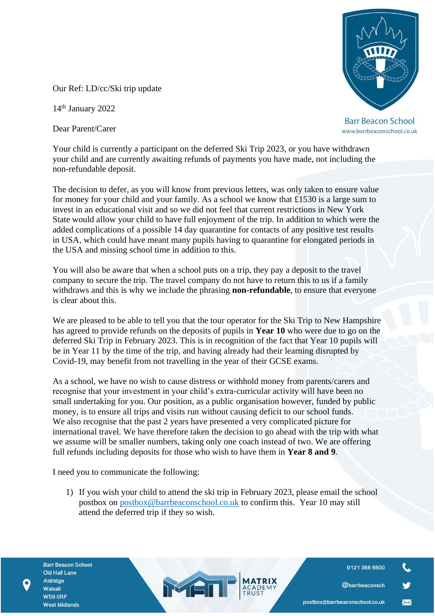**Barr Beacon School** www.barrbeaconschool.co.uk

Our Ref: LD/cc/Ski trip update

14th January 2022

Dear Parent/Carer

Your child is currently a participant on the deferred Ski Trip 2023, or you have withdrawn your child and are currently awaiting refunds of payments you have made, not including the non-refundable deposit.

The decision to defer, as you will know from previous letters, was only taken to ensure value for money for your child and your family. As a school we know that £1530 is a large sum to invest in an educational visit and so we did not feel that current restrictions in New York State would allow your child to have full enjoyment of the trip. In addition to which were the added complications of a possible 14 day quarantine for contacts of any positive test results in USA, which could have meant many pupils having to quarantine for elongated periods in the USA and missing school time in addition to this.

You will also be aware that when a school puts on a trip, they pay a deposit to the travel company to secure the trip. The travel company do not have to return this to us if a family withdraws and this is why we include the phrasing **non-refundable**, to ensure that everyone is clear about this.

We are pleased to be able to tell you that the tour operator for the Ski Trip to New Hampshire has agreed to provide refunds on the deposits of pupils in **Year 10** who were due to go on the deferred Ski Trip in February 2023. This is in recognition of the fact that Year 10 pupils will be in Year 11 by the time of the trip, and having already had their learning disrupted by Covid-19, may benefit from not travelling in the year of their GCSE exams.

As a school, we have no wish to cause distress or withhold money from parents/carers and recognise that your investment in your child's extra-curricular activity will have been no small undertaking for you. Our position, as a public organisation however, funded by public money, is to ensure all trips and visits run without causing deficit to our school funds. We also recognise that the past 2 years have presented a very complicated picture for international travel. We have therefore taken the decision to go ahead with the trip with what we assume will be smaller numbers, taking only one coach instead of two. We are offering full refunds including deposits for those who wish to have them in **Year 8 and 9**.

I need you to communicate the following:

1) If you wish your child to attend the ski trip in February 2023, please email the school postbox on [postbox@barrbeaconschool.co.uk](mailto:postbox@barrbeaconschool.co.uk) to confirm this. Year 10 may still attend the deferred trip if they so wish.

MEI

**Barr Beacon School** Old Hall Lane Aldridge Walsall WS9 ORF **West Midlands** 

0121 366 6600

@barrbeaconsch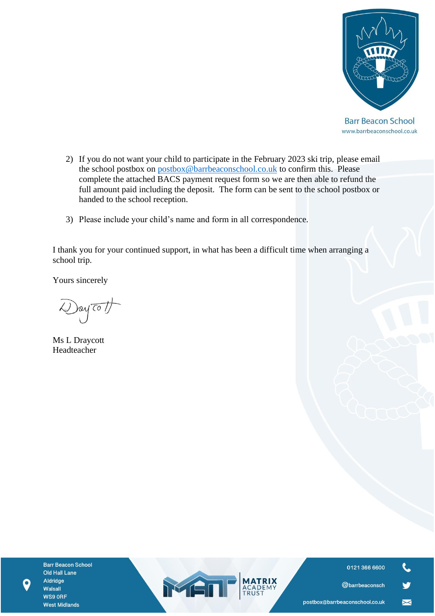

**Barr Beacon School** www.barrbeaconschool.co.uk

- 2) If you do not want your child to participate in the February 2023 ski trip, please email the school postbox on [postbox@barrbeaconschool.co.uk](mailto:postbox@barrbeaconschool.co.uk) to confirm this. Please complete the attached BACS payment request form so we are then able to refund the full amount paid including the deposit. The form can be sent to the school postbox or handed to the school reception.
- 3) Please include your child's name and form in all correspondence.

I thank you for your continued support, in what has been a difficult time when arranging a school trip.

Yours sincerely

Day To 1

Ms L Draycott Headteacher

**Barr Beacon School** Old Hall Lane Aldridge Walsall WS9 ORF **West Midlands** 





 $\blacksquare$